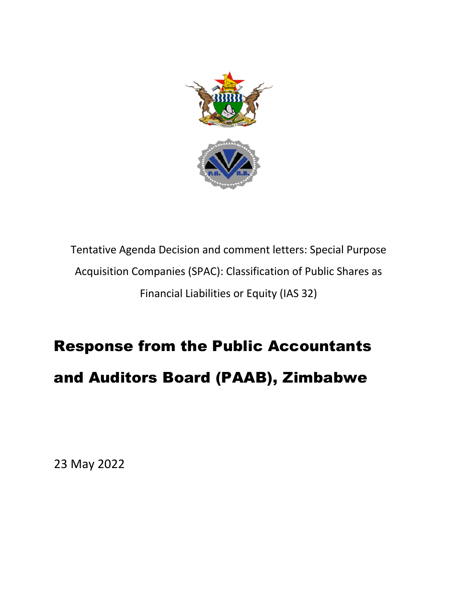

Tentative Agenda Decision and comment letters: Special Purpose Acquisition Companies (SPAC): Classification of Public Shares as Financial Liabilities or Equity (IAS 32)

## Response from the Public Accountants and Auditors Board (PAAB), Zimbabwe

23 May 2022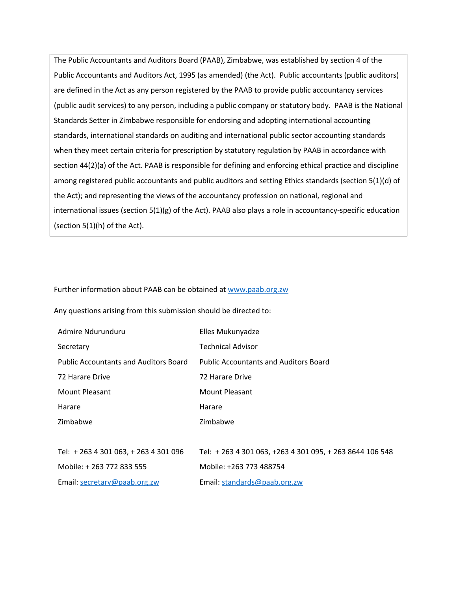The Public Accountants and Auditors Board (PAAB), Zimbabwe, was established by section 4 of the Public Accountants and Auditors Act, 1995 (as amended) (the Act). Public accountants (public auditors) are defined in the Act as any person registered by the PAAB to provide public accountancy services (public audit services) to any person, including a public company or statutory body. PAAB is the National Standards Setter in Zimbabwe responsible for endorsing and adopting international accounting standards, international standards on auditing and international public sector accounting standards when they meet certain criteria for prescription by statutory regulation by PAAB in accordance with section 44(2)(a) of the Act. PAAB is responsible for defining and enforcing ethical practice and discipline among registered public accountants and public auditors and setting Ethics standards (section 5(1)(d) of the Act); and representing the views of the accountancy profession on national, regional and international issues (section  $5(1)(g)$  of the Act). PAAB also plays a role in accountancy-specific education (section 5(1)(h) of the Act).

Further information about PAAB can be obtained at www.paab.org.zw

Any questions arising from this submission should be directed to:

| Admire Ndurunduru                            | Elles Mukunyadze                                       |
|----------------------------------------------|--------------------------------------------------------|
| Secretary                                    | <b>Technical Advisor</b>                               |
| <b>Public Accountants and Auditors Board</b> | <b>Public Accountants and Auditors Board</b>           |
| 72 Harare Drive                              | 72 Harare Drive                                        |
| Mount Pleasant                               | <b>Mount Pleasant</b>                                  |
| Harare                                       | Harare                                                 |
| Zimbabwe                                     | Zimbabwe                                               |
|                                              |                                                        |
| Tel: + 263 4 301 063, + 263 4 301 096        | Tel: +263 4 301 063, +263 4 301 095, +263 8644 106 548 |
| Mobile: +263 772 833 555                     | Mobile: +263 773 488754                                |
| Email: secretary@paab.org.zw                 | Email: standards@paab.org.zw                           |